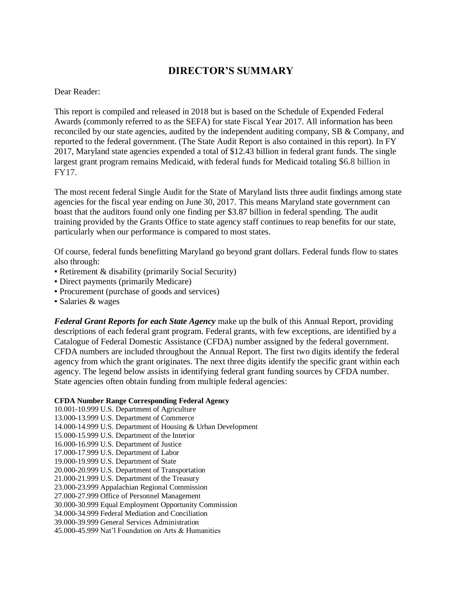# **DIRECTOR'S SUMMARY**

#### Dear Reader:

This report is compiled and released in 2018 but is based on the Schedule of Expended Federal Awards (commonly referred to as the SEFA) for state Fiscal Year 2017. All information has been reconciled by our state agencies, audited by the independent auditing company, SB & Company, and reported to the federal government. (The State Audit Report is also contained in this report). In FY 2017, Maryland state agencies expended a total of \$12.43 billion in federal grant funds. The single largest grant program remains Medicaid, with federal funds for Medicaid totaling \$6.8 billion in FY17.

The most recent federal Single Audit for the State of Maryland lists three audit findings among state agencies for the fiscal year ending on June 30, 2017. This means Maryland state government can boast that the auditors found only one finding per \$3.87 billion in federal spending. The audit training provided by the Grants Office to state agency staff continues to reap benefits for our state, particularly when our performance is compared to most states.

Of course, federal funds benefitting Maryland go beyond grant dollars. Federal funds flow to states also through:

- Retirement & disability (primarily Social Security)
- Direct payments (primarily Medicare)
- Procurement (purchase of goods and services)
- Salaries & wages

*Federal Grant Reports for each State Agency* make up the bulk of this Annual Report, providing descriptions of each federal grant program. Federal grants, with few exceptions, are identified by a Catalogue of Federal Domestic Assistance (CFDA) number assigned by the federal government. CFDA numbers are included throughout the Annual Report. The first two digits identify the federal agency from which the grant originates. The next three digits identify the specific grant within each agency. The legend below assists in identifying federal grant funding sources by CFDA number. State agencies often obtain funding from multiple federal agencies:

#### **CFDA Number Range Corresponding Federal Agency**

10.001-10.999 U.S. Department of Agriculture 13.000-13.999 U.S. Department of Commerce 14.000-14.999 U.S. Department of Housing & Urban Development 15.000-15.999 U.S. Department of the Interior 16.000-16.999 U.S. Department of Justice 17.000-17.999 U.S. Department of Labor 19.000-19.999 U.S. Department of State 20.000-20.999 U.S. Department of Transportation 21.000-21.999 U.S. Department of the Treasury 23.000-23.999 Appalachian Regional Commission 27.000-27.999 Office of Personnel Management 30.000-30.999 Equal Employment Opportunity Commission 34.000-34.999 Federal Mediation and Conciliation 39.000-39.999 General Services Administration 45.000-45.999 Nat'l Foundation on Arts & Humanities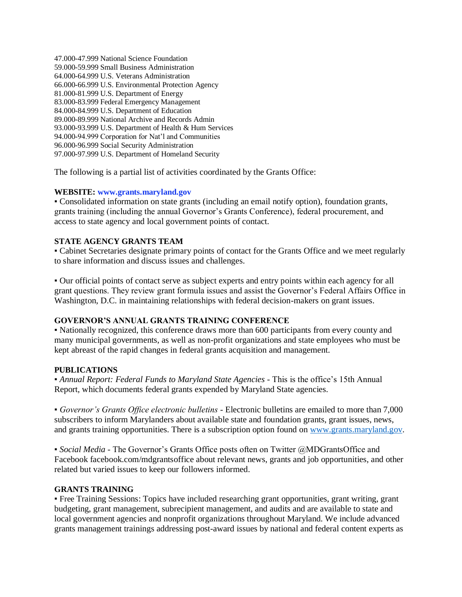47.000-47.999 National Science Foundation 59.000-59.999 Small Business Administration 64.000-64.999 U.S. Veterans Administration 66.000-66.999 U.S. Environmental Protection Agency 81.000-81.999 U.S. Department of Energy 83.000-83.999 Federal Emergency Management 84.000-84.999 U.S. Department of Education 89.000-89.999 National Archive and Records Admin 93.000-93.999 U.S. Department of Health & Hum Services 94.000-94.999 Corporation for Nat'l and Communities 96.000-96.999 Social Security Administration 97.000-97.999 U.S. Department of Homeland Security

The following is a partial list of activities coordinated by the Grants Office:

### **WEBSITE: www.grants.maryland.gov**

▪ Consolidated information on state grants (including an email notify option), foundation grants, grants training (including the annual Governor's Grants Conference), federal procurement, and access to state agency and local government points of contact.

## **STATE AGENCY GRANTS TEAM**

▪ Cabinet Secretaries designate primary points of contact for the Grants Office and we meet regularly to share information and discuss issues and challenges.

▪ Our official points of contact serve as subject experts and entry points within each agency for all grant questions. They review grant formula issues and assist the Governor's Federal Affairs Office in Washington, D.C. in maintaining relationships with federal decision-makers on grant issues.

### **GOVERNOR'S ANNUAL GRANTS TRAINING CONFERENCE**

▪ Nationally recognized, this conference draws more than 600 participants from every county and many municipal governments, as well as non-profit organizations and state employees who must be kept abreast of the rapid changes in federal grants acquisition and management.

### **PUBLICATIONS**

▪ *Annual Report: Federal Funds to Maryland State Agencies* - This is the office's 15th Annual Report, which documents federal grants expended by Maryland State agencies.

▪ *Governor's Grants Office electronic bulletins -* Electronic bulletins are emailed to more than 7,000 subscribers to inform Marylanders about available state and foundation grants, grant issues, news, and grants training opportunities. There is a subscription option found on [www.grants.maryland.gov.](http://www.grants.maryland.gov/)

▪ *Social Media* - The Governor's Grants Office posts often on Twitter @MDGrantsOffice and Facebook facebook.com/mdgrantsoffice about relevant news, grants and job opportunities, and other related but varied issues to keep our followers informed.

### **GRANTS TRAINING**

▪ Free Training Sessions: Topics have included researching grant opportunities, grant writing, grant budgeting, grant management, subrecipient management, and audits and are available to state and local government agencies and nonprofit organizations throughout Maryland. We include advanced grants management trainings addressing post-award issues by national and federal content experts as